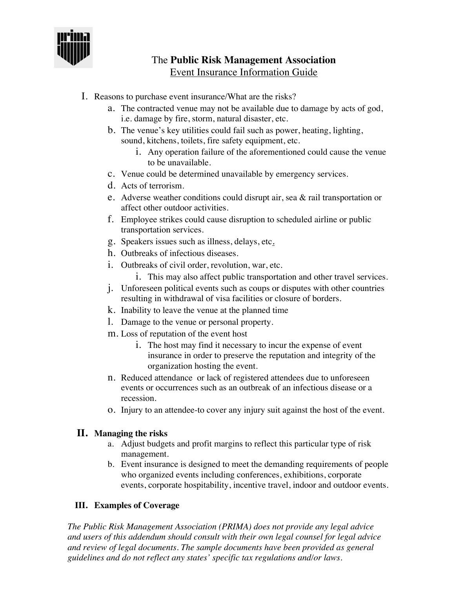

## The **Public Risk Management Association** Event Insurance Information Guide

- I. Reasons to purchase event insurance/What are the risks?
	- a. The contracted venue may not be available due to damage by acts of god, i.e. damage by fire, storm, natural disaster, etc.
	- b. The venue's key utilities could fail such as power, heating, lighting, sound, kitchens, toilets, fire safety equipment, etc.
		- i. Any operation failure of the aforementioned could cause the venue to be unavailable.
	- c. Venue could be determined unavailable by emergency services.
	- d. Acts of terrorism.
	- e. Adverse weather conditions could disrupt air, sea & rail transportation or affect other outdoor activities.
	- f. Employee strikes could cause disruption to scheduled airline or public transportation services.
	- g. Speakers issues such as illness, delays, etc.
	- h. Outbreaks of infectious diseases.
	- i. Outbreaks of civil order, revolution, war, etc.
		- i. This may also affect public transportation and other travel services.
	- j. Unforeseen political events such as coups or disputes with other countries resulting in withdrawal of visa facilities or closure of borders.
	- k. Inability to leave the venue at the planned time
	- l. Damage to the venue or personal property.
	- m. Loss of reputation of the event host
		- i. The host may find it necessary to incur the expense of event insurance in order to preserve the reputation and integrity of the organization hosting the event.
	- n. Reduced attendance or lack of registered attendees due to unforeseen events or occurrences such as an outbreak of an infectious disease or a recession.
	- o. Injury to an attendee-to cover any injury suit against the host of the event.

## **II. Managing the risks**

- a. Adjust budgets and profit margins to reflect this particular type of risk management.
- b. Event insurance is designed to meet the demanding requirements of people who organized events including conferences, exhibitions, corporate events, corporate hospitability, incentive travel, indoor and outdoor events.

## **III. Examples of Coverage**

*The Public Risk Management Association (PRIMA) does not provide any legal advice and users of this addendum should consult with their own legal counsel for legal advice and review of legal documents. The sample documents have been provided as general guidelines and do not reflect any states' specific tax regulations and/or laws.*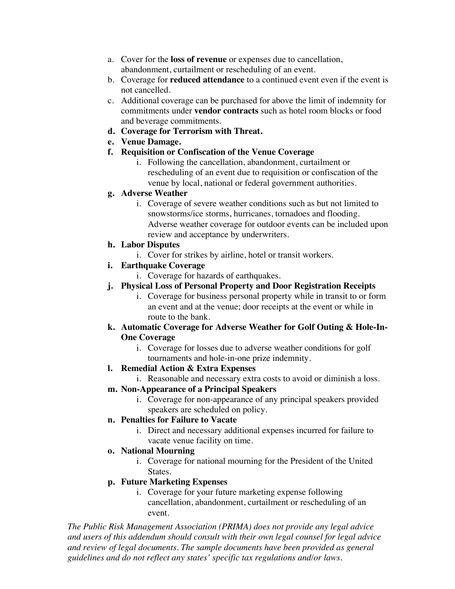- a. Cover for the **loss of revenue** or expenses due to cancellation, abandonment, curtailment or rescheduling of an event.
- b. Coverage for **reduced attendance** to a continued event even if the event is not cancelled.
- c. Additional coverage can be purchased for above the limit of indemnity for commitments under **vendor contracts** such as hotel room blocks or food and beverage commitments.
- **d. Coverage for Terrorism with Threat.**
- **e. Venue Damage.**
- **f. Requisition or Confiscation of the Venue Coverage**
	- i. Following the cancellation, abandonment, curtailment or rescheduling of an event due to requisition or confiscation of the venue by local, national or federal government authorities.
- **g. Adverse Weather**
	- i. Coverage of severe weather conditions such as but not limited to snowstorms/ice storms, hurricanes, tornadoes and flooding. Adverse weather coverage for outdoor events can be included upon review and acceptance by underwriters.
- **h. Labor Disputes**
	- i. Cover for strikes by airline, hotel or transit workers.
- **i. Earthquake Coverage**
	- i. Coverage for hazards of earthquakes.
- **j. Physical Loss of Personal Property and Door Registration Receipts**
	- i. Coverage for business personal property while in transit to or form an event and at the venue; door receipts at the event or while in route to the bank.
- **k. Automatic Coverage for Adverse Weather for Golf Outing & Hole-In-One Coverage**
	- i. Coverage for losses due to adverse weather conditions for golf tournaments and hole-in-one prize indemnity.
- **l. Remedial Action & Extra Expenses**

i. Reasonable and necessary extra costs to avoid or diminish a loss.

- **m. Non-Appearance of a Principal Speakers**
	- i. Coverage for non-appearance of any principal speakers provided speakers are scheduled on policy.
- **n. Penalties for Failure to Vacate**
	- i. Direct and necessary additional expenses incurred for failure to vacate venue facility on time.
- **o. National Mourning**
	- i. Coverage for national mourning for the President of the United States.

## **p. Future Marketing Expenses**

i. Coverage for your future marketing expense following cancellation, abandonment, curtailment or rescheduling of an event.

*The Public Risk Management Association (PRIMA) does not provide any legal advice and users of this addendum should consult with their own legal counsel for legal advice and review of legal documents. The sample documents have been provided as general guidelines and do not reflect any states' specific tax regulations and/or laws.*